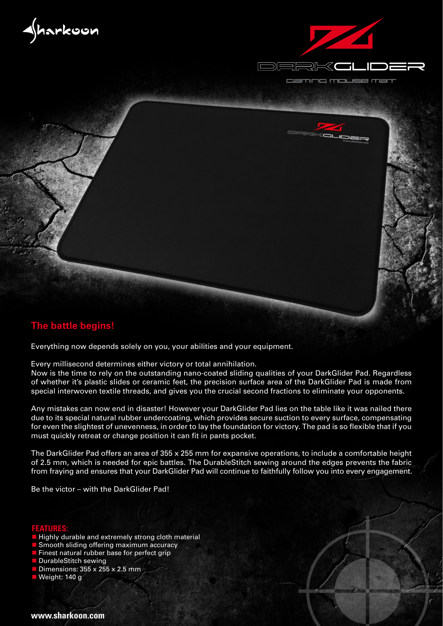



ig mouse ma cam



## **The battle begins!**

Everything now depends solely on you, your abilities and your equipment.

Every millisecond determines either victory or total annihilation.

Now is the time to rely on the outstanding nano-coated sliding qualities of your DarkGlider Pad. Regardless of whether it's plastic slides or ceramic feet, the precision surface area of the DarkGlider Pad is made from special interwoven textile threads, and gives you the crucial second fractions to eliminate your opponents.

Any mistakes can now end in disaster! However your DarkGlider Pad lies on the table like it was nailed there due to its special natural rubber undercoating, which provides secure suction to every surface, compensating for even the slightest of unevenness, in order to lay the foundation for victory. The pad is so flexible that if you must quickly retreat or change position it can fit in pants pocket.

The DarkGlider Pad offers an area of 355 x 255 mm for expansive operations, to include a comfortable height of 2.5 mm, which is needed for epic battles. The DurableStitch sewing around the edges prevents the fabric from fraying and ensures that your DarkGlider Pad will continue to faithfully follow you into every engagement.

Be the victor – with the DarkGlider Pad!

## **FEATURES:**

- Highly durable and extremely strong cloth material
- Smooth sliding offering maximum accuracy
- Finest natural rubber base for perfect grip
- DurableStitch sewing
- Dimensions: 355 x 255 x 2.5 mm
- Weight: 140 g